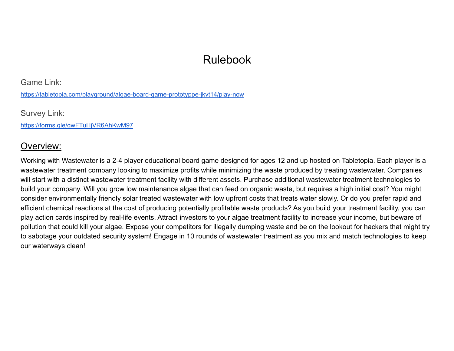# Rulebook

Game Link:

<https://tabletopia.com/playground/algae-board-game-prototyppe-jkvt14/play-now>

Survey Link:

<https://forms.gle/gwFTuHjVR6AhKwM97>

### Overview:

Working with Wastewater is a 2-4 player educational board game designed for ages 12 and up hosted on Tabletopia. Each player is a wastewater treatment company looking to maximize profits while minimizing the waste produced by treating wastewater. Companies will start with a distinct wastewater treatment facility with different assets. Purchase additional wastewater treatment technologies to build your company. Will you grow low maintenance algae that can feed on organic waste, but requires a high initial cost? You might consider environmentally friendly solar treated wastewater with low upfront costs that treats water slowly. Or do you prefer rapid and efficient chemical reactions at the cost of producing potentially profitable waste products? As you build your treatment facility, you can play action cards inspired by real-life events. Attract investors to your algae treatment facility to increase your income, but beware of pollution that could kill your algae. Expose your competitors for illegally dumping waste and be on the lookout for hackers that might try to sabotage your outdated security system! Engage in 10 rounds of wastewater treatment as you mix and match technologies to keep our waterways clean!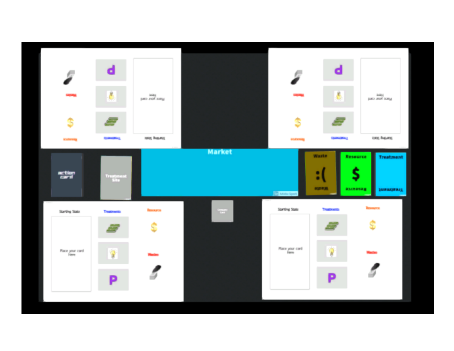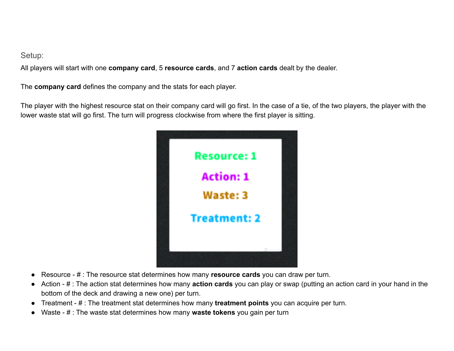#### Setup:

All players will start with one **company card**, 5 **resource cards**, and 7 **action cards** dealt by the dealer.

The **company card** defines the company and the stats for each player.

The player with the highest resource stat on their company card will go first. In the case of a tie, of the two players, the player with the lower waste stat will go first. The turn will progress clockwise from where the first player is sitting.



- Resource # : The resource stat determines how many **resource cards** you can draw per turn.
- Action # : The action stat determines how many **action cards** you can play or swap (putting an action card in your hand in the bottom of the deck and drawing a new one) per turn.
- Treatment # : The treatment stat determines how many **treatment points** you can acquire per turn.
- Waste # : The waste stat determines how many **waste tokens** you gain per turn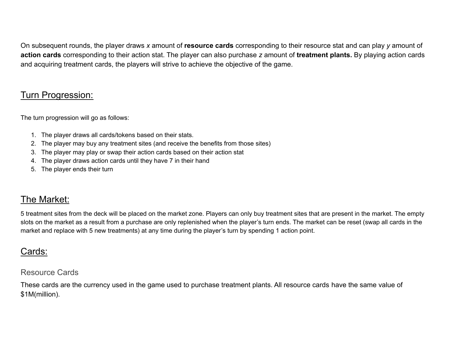On subsequent rounds, the player draws *x* amount of **resource cards** corresponding to their resource stat and can play *y* amount of **action cards** corresponding to their action stat. The player can also purchase *z* amount of **treatment plants.** By playing action cards and acquiring treatment cards, the players will strive to achieve the objective of the game.

## Turn Progression:

The turn progression will go as follows:

- 1. The player draws all cards/tokens based on their stats.
- 2. The player may buy any treatment sites (and receive the benefits from those sites)
- 3. The player may play or swap their action cards based on their action stat
- 4. The player draws action cards until they have 7 in their hand
- 5. The player ends their turn

### The Market:

5 treatment sites from the deck will be placed on the market zone. Players can only buy treatment sites that are present in the market. The empty slots on the market as a result from a purchase are only replenished when the player's turn ends. The market can be reset (swap all cards in the market and replace with 5 new treatments) at any time during the player's turn by spending 1 action point.

# Cards:

#### Resource Cards

These cards are the currency used in the game used to purchase treatment plants. All resource cards have the same value of \$1M(million).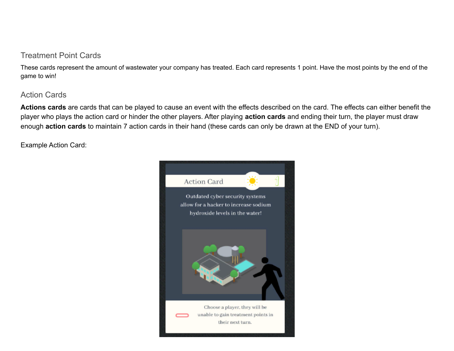#### Treatment Point Cards

These cards represent the amount of wastewater your company has treated. Each card represents 1 point. Have the most points by the end of the game to win!

#### Action Cards

**Actions cards** are cards that can be played to cause an event with the effects described on the card. The effects can either benefit the player who plays the action card or hinder the other players. After playing **action cards** and ending their turn, the player must draw enough **action cards** to maintain 7 action cards in their hand (these cards can only be drawn at the END of your turn).

Example Action Card:

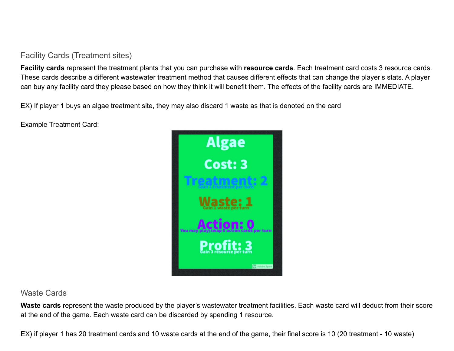#### Facility Cards (Treatment sites)

**Facility cards** represent the treatment plants that you can purchase with **resource cards**. Each treatment card costs 3 resource cards. These cards describe a different wastewater treatment method that causes different effects that can change the player's stats. A player can buy any facility card they please based on how they think it will benefit them. The effects of the facility cards are IMMEDIATE.

EX) If player 1 buys an algae treatment site, they may also discard 1 waste as that is denoted on the card

Example Treatment Card:



#### Waste Cards

Waste cards represent the waste produced by the player's wastewater treatment facilities. Each waste card will deduct from their score at the end of the game. Each waste card can be discarded by spending 1 resource.

EX) if player 1 has 20 treatment cards and 10 waste cards at the end of the game, their final score is 10 (20 treatment - 10 waste)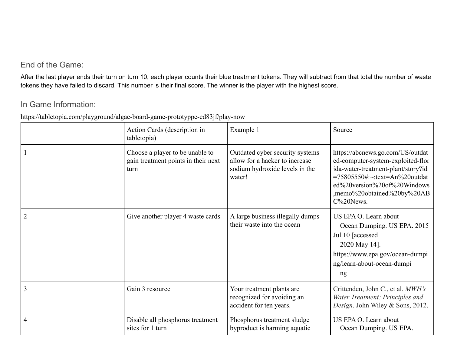### End of the Game:

After the last player ends their turn on turn 10, each player counts their blue treatment tokens. They will subtract from that total the number of waste tokens they have failed to discard. This number is their final score. The winner is the player with the highest score.

#### In Game Information:

https://tabletopia.com/playground/algae-board-game-prototyppe-ed83jf/play-now

|   | Action Cards (description in<br>tabletopia)                                    | Example 1                                                                                                     | Source                                                                                                                                                                                                                    |
|---|--------------------------------------------------------------------------------|---------------------------------------------------------------------------------------------------------------|---------------------------------------------------------------------------------------------------------------------------------------------------------------------------------------------------------------------------|
|   | Choose a player to be unable to<br>gain treatment points in their next<br>turn | Outdated cyber security systems<br>allow for a hacker to increase<br>sodium hydroxide levels in the<br>water! | https://abcnews.go.com/US/outdat<br>ed-computer-system-exploited-flor<br>ida-water-treatment-plant/story?id<br>$=75805550$ #:~:text=An%20outdat<br>ed%20version%20of%20Windows<br>,memo%20obtained%20by%20AB<br>C%20News. |
| 2 | Give another player 4 waste cards                                              | A large business illegally dumps<br>their waste into the ocean                                                | US EPA O. Learn about<br>Ocean Dumping. US EPA. 2015<br>Jul 10 [accessed]<br>2020 May 14].<br>https://www.epa.gov/ocean-dumpi<br>ng/learn-about-ocean-dumpi<br>ng                                                         |
| 3 | Gain 3 resource                                                                | Your treatment plants are<br>recognized for avoiding an<br>accident for ten years.                            | Crittenden, John C., et al. MWH's<br>Water Treatment: Principles and<br>Design. John Wiley & Sons, 2012.                                                                                                                  |
| 4 | Disable all phosphorus treatment<br>sites for 1 turn                           | Phosphorus treatment sludge<br>byproduct is harming aquatic                                                   | US EPA O. Learn about<br>Ocean Dumping. US EPA.                                                                                                                                                                           |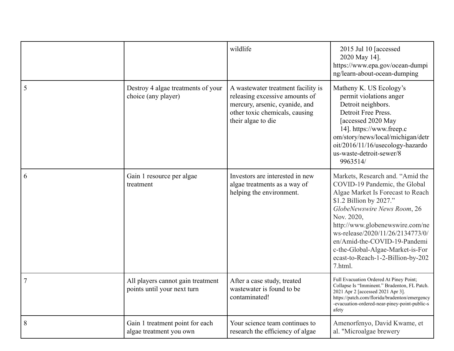|   |                                                                  | wildlife                                                                                                                                                       | 2015 Jul 10 [accessed<br>2020 May 14].<br>https://www.epa.gov/ocean-dumpi<br>ng/learn-about-ocean-dumping                                                                                                                                                                                                                                                                 |
|---|------------------------------------------------------------------|----------------------------------------------------------------------------------------------------------------------------------------------------------------|---------------------------------------------------------------------------------------------------------------------------------------------------------------------------------------------------------------------------------------------------------------------------------------------------------------------------------------------------------------------------|
| 5 | Destroy 4 algae treatments of your<br>choice (any player)        | A wastewater treatment facility is<br>releasing excessive amounts of<br>mercury, arsenic, cyanide, and<br>other toxic chemicals, causing<br>their algae to die | Matheny K. US Ecology's<br>permit violations anger<br>Detroit neighbors.<br>Detroit Free Press.<br>[accessed 2020 May<br>14]. https://www.freep.c<br>om/story/news/local/michigan/detr<br>oit/2016/11/16/usecology-hazardo<br>us-waste-detroit-sewer/8<br>9963514/                                                                                                        |
| 6 | Gain 1 resource per algae<br>treatment                           | Investors are interested in new<br>algae treatments as a way of<br>helping the environment.                                                                    | Markets, Research and. "Amid the<br>COVID-19 Pandemic, the Global<br>Algae Market Is Forecast to Reach<br>\$1.2 Billion by 2027."<br>GlobeNewswire News Room, 26<br>Nov. 2020.<br>http://www.globenewswire.com/ne<br>ws-release/2020/11/26/2134773/0/<br>en/Amid-the-COVID-19-Pandemi<br>c-the-Global-Algae-Market-is-For<br>ecast-to-Reach-1-2-Billion-by-202<br>7.html. |
| 7 | All players cannot gain treatment<br>points until your next turn | After a case study, treated<br>wastewater is found to be<br>contaminated!                                                                                      | Full Evacuation Ordered At Piney Point;<br>Collapse Is "Imminent." Bradenton, FL Patch.<br>2021 Apr 2 [accessed 2021 Apr 3].<br>https://patch.com/florida/bradenton/emergency<br>-evacuation-ordered-near-piney-point-public-s<br>afety                                                                                                                                   |
| 8 | Gain 1 treatment point for each<br>algae treatment you own       | Your science team continues to<br>research the efficiency of algae                                                                                             | Amenorfenyo, David Kwame, et<br>al. "Microalgae brewery                                                                                                                                                                                                                                                                                                                   |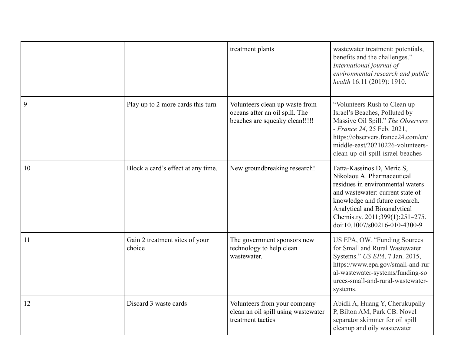|    |                                          | treatment plants                                                                                   | wastewater treatment: potentials,<br>benefits and the challenges."<br>International journal of<br>environmental research and public<br>health 16.11 (2019): 1910.                                                                                                      |
|----|------------------------------------------|----------------------------------------------------------------------------------------------------|------------------------------------------------------------------------------------------------------------------------------------------------------------------------------------------------------------------------------------------------------------------------|
| 9  | Play up to 2 more cards this turn        | Volunteers clean up waste from<br>oceans after an oil spill. The<br>beaches are squeaky clean!!!!! | "Volunteers Rush to Clean up<br>Israel's Beaches, Polluted by<br>Massive Oil Spill." The Observers<br>- France 24, 25 Feb. 2021,<br>https://observers.france24.com/en/<br>middle-east/20210226-volunteers-<br>clean-up-oil-spill-israel-beaches                        |
| 10 | Block a card's effect at any time.       | New groundbreaking research!                                                                       | Fatta-Kassinos D, Meric S,<br>Nikolaou A. Pharmaceutical<br>residues in environmental waters<br>and wastewater: current state of<br>knowledge and future research.<br>Analytical and Bioanalytical<br>Chemistry. 2011;399(1):251-275.<br>doi:10.1007/s00216-010-4300-9 |
| 11 | Gain 2 treatment sites of your<br>choice | The government sponsors new<br>technology to help clean<br>wastewater.                             | US EPA, OW. "Funding Sources<br>for Small and Rural Wastewater<br>Systems." US EPA, 7 Jan. 2015,<br>https://www.epa.gov/small-and-rur<br>al-wastewater-systems/funding-so<br>urces-small-and-rural-wastewater-<br>systems.                                             |
| 12 | Discard 3 waste cards                    | Volunteers from your company<br>clean an oil spill using wastewater<br>treatment tactics           | Abidli A, Huang Y, Cherukupally<br>P, Bilton AM, Park CB. Novel<br>separator skimmer for oil spill<br>cleanup and oily wastewater                                                                                                                                      |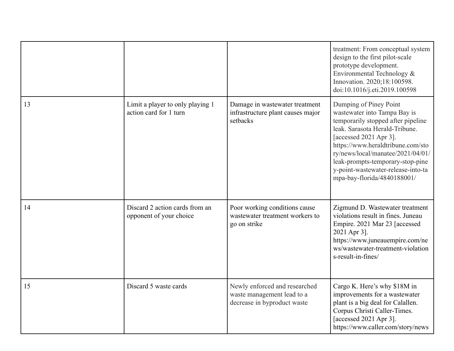|    |                                                            |                                                                                            | treatment: From conceptual system<br>design to the first pilot-scale<br>prototype development.<br>Environmental Technology &<br>Innovation. 2020;18:100598.<br>doi:10.1016/j.eti.2019.100598                                                                                                                                                |
|----|------------------------------------------------------------|--------------------------------------------------------------------------------------------|---------------------------------------------------------------------------------------------------------------------------------------------------------------------------------------------------------------------------------------------------------------------------------------------------------------------------------------------|
| 13 | Limit a player to only playing 1<br>action card for 1 turn | Damage in wastewater treatment<br>infrastructure plant causes major<br>setbacks            | Dumping of Piney Point<br>wastewater into Tampa Bay is<br>temporarily stopped after pipeline<br>leak. Sarasota Herald-Tribune.<br>[accessed 2021 Apr 3].<br>https://www.heraldtribune.com/sto<br>ry/news/local/manatee/2021/04/01/<br>leak-prompts-temporary-stop-pine<br>y-point-wastewater-release-into-ta<br>mpa-bay-florida/4840188001/ |
| 14 | Discard 2 action cards from an<br>opponent of your choice  | Poor working conditions cause<br>wastewater treatment workers to<br>go on strike           | Zigmund D. Wastewater treatment<br>violations result in fines. Juneau<br>Empire. 2021 Mar 23 [accessed<br>2021 Apr 3].<br>https://www.juneauempire.com/ne<br>ws/wastewater-treatment-violation<br>s-result-in-fines/                                                                                                                        |
| 15 | Discard 5 waste cards                                      | Newly enforced and researched<br>waste management lead to a<br>decrease in byproduct waste | Cargo K. Here's why \$18M in<br>improvements for a wastewater<br>plant is a big deal for Calallen.<br>Corpus Christi Caller-Times.<br>[accessed 2021 Apr 3].<br>https://www.caller.com/story/news                                                                                                                                           |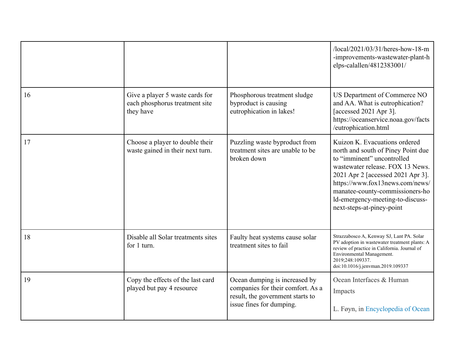|    |                                                                                |                                                                                                                                    | /local/2021/03/31/heres-how-18-m<br>-improvements-wastewater-plant-h<br>elps-calallen/4812383001/                                                                                                                                                                                                                 |
|----|--------------------------------------------------------------------------------|------------------------------------------------------------------------------------------------------------------------------------|-------------------------------------------------------------------------------------------------------------------------------------------------------------------------------------------------------------------------------------------------------------------------------------------------------------------|
| 16 | Give a player 5 waste cards for<br>each phosphorus treatment site<br>they have | Phosphorous treatment sludge<br>byproduct is causing<br>eutrophication in lakes!                                                   | US Department of Commerce NO<br>and AA. What is eutrophication?<br>[accessed 2021 Apr 3].<br>https://oceanservice.noaa.gov/facts<br>/eutrophication.html                                                                                                                                                          |
| 17 | Choose a player to double their<br>waste gained in their next turn.            | Puzzling waste byproduct from<br>treatment sites are unable to be<br>broken down                                                   | Kuizon K. Evacuations ordered<br>north and south of Piney Point due<br>to "imminent" uncontrolled<br>wastewater release. FOX 13 News.<br>2021 Apr 2 [accessed 2021 Apr 3].<br>https://www.fox13news.com/news/<br>manatee-county-commissioners-ho<br>ld-emergency-meeting-to-discuss-<br>next-steps-at-piney-point |
| 18 | Disable all Solar treatments sites<br>for 1 turn.                              | Faulty heat systems cause solar<br>treatment sites to fail                                                                         | Strazzabosco A, Kenway SJ, Lant PA. Solar<br>PV adoption in wastewater treatment plants: A<br>review of practice in California. Journal of<br>Environmental Management.<br>2019;248:109337.<br>doi:10.1016/j.jenvman.2019.109337                                                                                  |
| 19 | Copy the effects of the last card<br>played but pay 4 resource                 | Ocean dumping is increased by<br>companies for their comfort. As a<br>result, the government starts to<br>issue fines for dumping. | Ocean Interfaces & Human<br>Impacts<br>L. Føyn, in Encyclopedia of Ocean                                                                                                                                                                                                                                          |